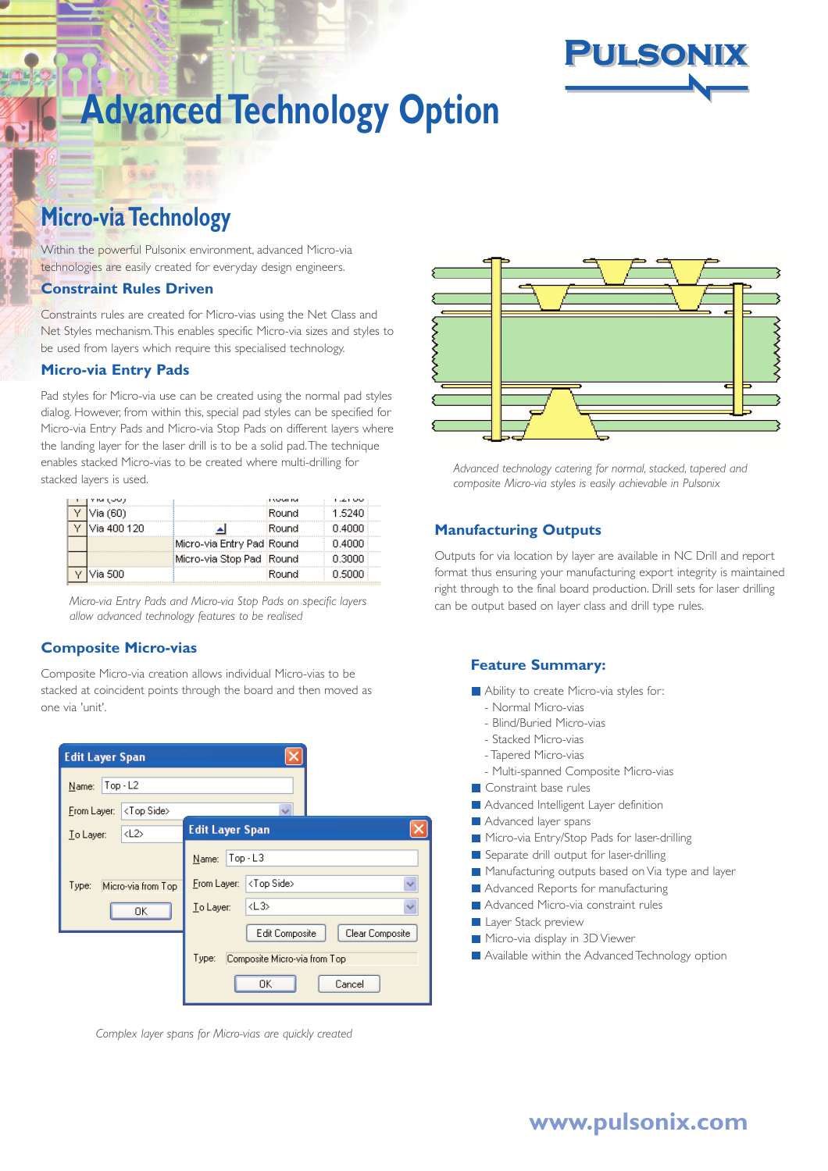

# **Micro-via Technology**

Within the powerful Pulsonix environment, advanced Micro-via technologies are easily created for everyday design engineers.

#### **Constraint Rules Driven**

Constraints rules are created for Micro-vias using the Net Class and Net Styles mechanism.This enables specific Micro-via sizes and styles to be used from layers which require this specialised technology.

#### **Micro-via Entry Pads**

Pad styles for Micro-via use can be created using the normal pad styles dialog. However, from within this, special pad styles can be specified for Micro-via Entry Pads and Micro-via Stop Pads on different layers where the landing layer for the laser drill is to be a solid pad.The technique enables stacked Micro-vias to be created where multi-drilling for stacked layers is used.

|  |              |                           |       | ن ن المدا |
|--|--------------|---------------------------|-------|-----------|
|  | Via (60).    |                           | Round | 1.5240    |
|  | Via 400 120. |                           | Round | በ 4በበበ    |
|  |              | Micro-via Entry Pad Round |       | በ 4በበበ    |
|  |              | Micro-via Stop Pad :Round |       | 0.3000    |
|  | Via 500.     |                           | Round | 0.5000    |

*Micro-via Entry Pads and Micro-via Stop Pads on specific layers allow advanced technology features to be realised*

#### **Composite Micro-vias**

Composite Micro-via creation allows individual Micro-vias to be stacked at coincident points through the board and then moved as one via 'unit'.



*Complex layer spans for Micro-vias are quickly created*



*Advanced technology catering for normal, stacked, tapered and composite Micro-via styles is easily achievable in Pulsonix*

#### **Manufacturing Outputs**

Outputs for via location by layer are available in NC Drill and report format thus ensuring your manufacturing export integrity is maintained right through to the final board production. Drill sets for laser drilling can be output based on layer class and drill type rules.

#### **Feature Summary:**

- Ability to create Micro-via styles for:
	- Normal Micro-vias
	- Blind/Buried Micro-vias
	- Stacked Micro-vias
- Tapered Micro-vias
- Multi-spanned Composite Micro-vias
- Constraint base rules
- **Advanced Intelligent Layer definition**
- **Advanced layer spans**
- Micro-via Entry/Stop Pads for laser-drilling
- Separate drill output for laser-drilling
- Manufacturing outputs based on Via type and layer
- **Advanced Reports for manufacturing**
- Advanced Micro-via constraint rules
- **Layer Stack preview**
- Micro-via display in 3D Viewer
- Available within the Advanced Technology option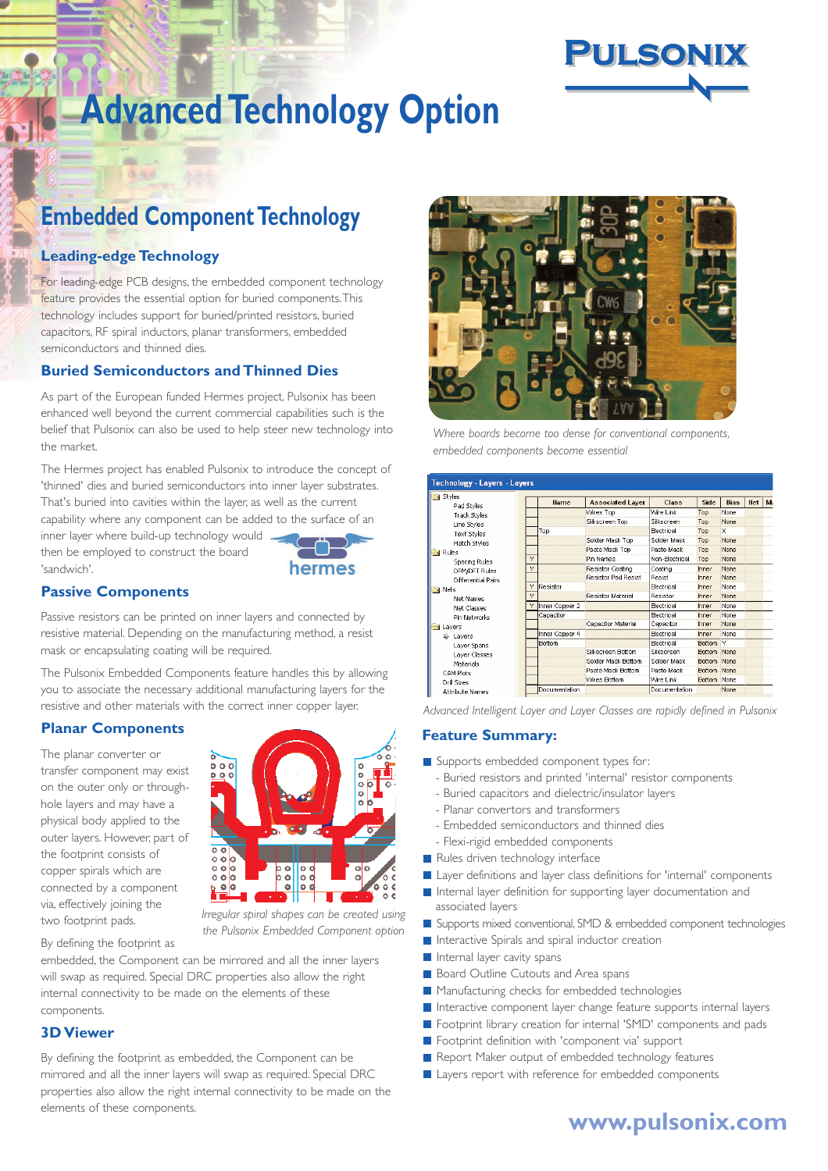

# **Embedded Component Technology**

# **Leading-edge Technology**

For leading-edge PCB designs, the embedded component technology feature provides the essential option for buried components.This technology includes support for buried/printed resistors, buried capacitors, RF spiral inductors, planar transformers, embedded semiconductors and thinned dies.

### **Buried Semiconductors and Thinned Dies**

As part of the European funded Hermes project, Pulsonix has been enhanced well beyond the current commercial capabilities such is the belief that Pulsonix can also be used to help steer new technology into the market.

The Hermes project has enabled Pulsonix to introduce the concept of 'thinned' dies and buried semiconductors into inner layer substrates. That's buried into cavities within the layer, as well as the current capability where any component can be added to the surface of an

inner layer where build-up technology would then be employed to construct the board 'sandwich'.



### **Passive Components**

Passive resistors can be printed on inner layers and connected by resistive material. Depending on the manufacturing method, a resist mask or encapsulating coating will be required.

The Pulsonix Embedded Components feature handles this by allowing you to associate the necessary additional manufacturing layers for the resistive and other materials with the correct inner copper layer.

#### **Planar Components**

The planar converter or transfer component may exist on the outer only or throughhole layers and may have a physical body applied to the outer layers. However, part of the footprint consists of copper spirals which are connected by a component via, effectively joining the two footprint pads.

By defining the footprint as



*Irregular spiral shapes can be created using the Pulsonix Embedded Component option*

embedded, the Component can be mirrored and all the inner layers will swap as required. Special DRC properties also allow the right internal connectivity to be made on the elements of these components.

#### **3D Viewer**

By defining the footprint as embedded, the Component can be mirrored and all the inner layers will swap as required. Special DRC properties also allow the right internal connectivity to be made on the elements of these components.



*Where boards become too dense for conventional components, embedded components become essential*

| Technology - Layers - Layers |   |                |                            |                   |               |              |            |   |
|------------------------------|---|----------------|----------------------------|-------------------|---------------|--------------|------------|---|
| Styles                       |   |                |                            | Class             |               |              |            |   |
| Pad Styles                   |   | <b>Hame</b>    | <b>Associated Layer</b>    |                   | Side          | <b>Bias</b>  | <b>Het</b> | M |
| Track Styles                 |   |                | Wires Top                  | Wire Link         | Top           | None         |            |   |
| Line Styles                  |   |                | Silkscreen Top             | Silkscreen        | Top           | None         |            |   |
| Text Styles                  |   | Top            |                            | Electrical        | Top           | $\mathbf{x}$ |            |   |
| Hatch Styles                 |   |                | Solder Mask Top            | Solder Mask       | Top           | None         |            |   |
| Rules                        |   |                | Paste Mask Top             | Paste Mask        | Top           | None         |            |   |
| Spacing Rules                | Ÿ |                | Pin Names                  | Non-Electrical    | Top           | None         |            |   |
| DFM/DFT Rules                | Υ |                | Resistor Coating           | Coating           | Inner         | <b>None</b>  |            |   |
| Differential Pairs           |   |                | <b>Resistor Pad Resist</b> | Resist            | Inner         | <b>None</b>  |            |   |
| <b>Sa</b> Nets               | Y | Resistor       |                            | Flectrical        | Inner         | <b>None</b>  |            |   |
| Net Names                    | Y |                | Resistor Material          | Resistor          | Inner         | None         |            |   |
| Net Classes                  | Y | Inner Copper 2 |                            | Electrical        | Inner         | None         |            |   |
| Pin Networks                 |   | Capacitor      |                            | Electrical        | Inner         | None         |            |   |
| <b>N</b> Layers              |   |                | Capacitor Material         | Capacitor         | Inner         | None         |            |   |
| Lavers                       |   | Inner Copper 4 |                            | Electrical        | Inner         | None         |            |   |
| Layer Spans                  |   | Bottom         |                            | <b>Flectrical</b> | <b>Bottom</b> | IV           |            |   |
| Laver Classes                |   |                | Silkscreen Bottom          | Silkscreen        | Bottom None   |              |            |   |
| Materials                    |   |                | Solder Mask Bottom         | Solder Mask       | Bottom None   |              |            |   |
| CAM Plots                    |   |                | Paste Mask Bottom          | Paste Mask        | Bottom None   |              |            |   |
| Drill Sizes                  |   |                | Wires Bottom               | Wire Link         | Bottom None   |              |            |   |
| <b>Attribute Names</b>       |   | Documentation  |                            | Documentation     |               | None         |            |   |

*Advanced Intelligent Layer and Layer Classes are rapidly defined in Pulsonix*

## **Feature Summary:**

- Supports embedded component types for:
	- Buried resistors and printed 'internal' resistor components
	- Buried capacitors and dielectric/insulator layers
	- Planar convertors and transformers
	- Embedded semiconductors and thinned dies
- Flexi-rigid embedded components
- Rules driven technology interface
- Layer definitions and layer class definitions for 'internal' components
- Internal layer definition for supporting layer documentation and associated layers
- Supports mixed conventional, SMD & embedded component technologies
- Interactive Spirals and spiral inductor creation
- Internal layer cavity spans
- **Board Outline Cutouts and Area spans**
- Manufacturing checks for embedded technologies
- Interactive component layer change feature supports internal layers
- **F** Footprint library creation for internal 'SMD' components and pads
- Footprint definition with 'component via' support
- Report Maker output of embedded technology features
- Layers report with reference for embedded components

# **www.pulsonix.com**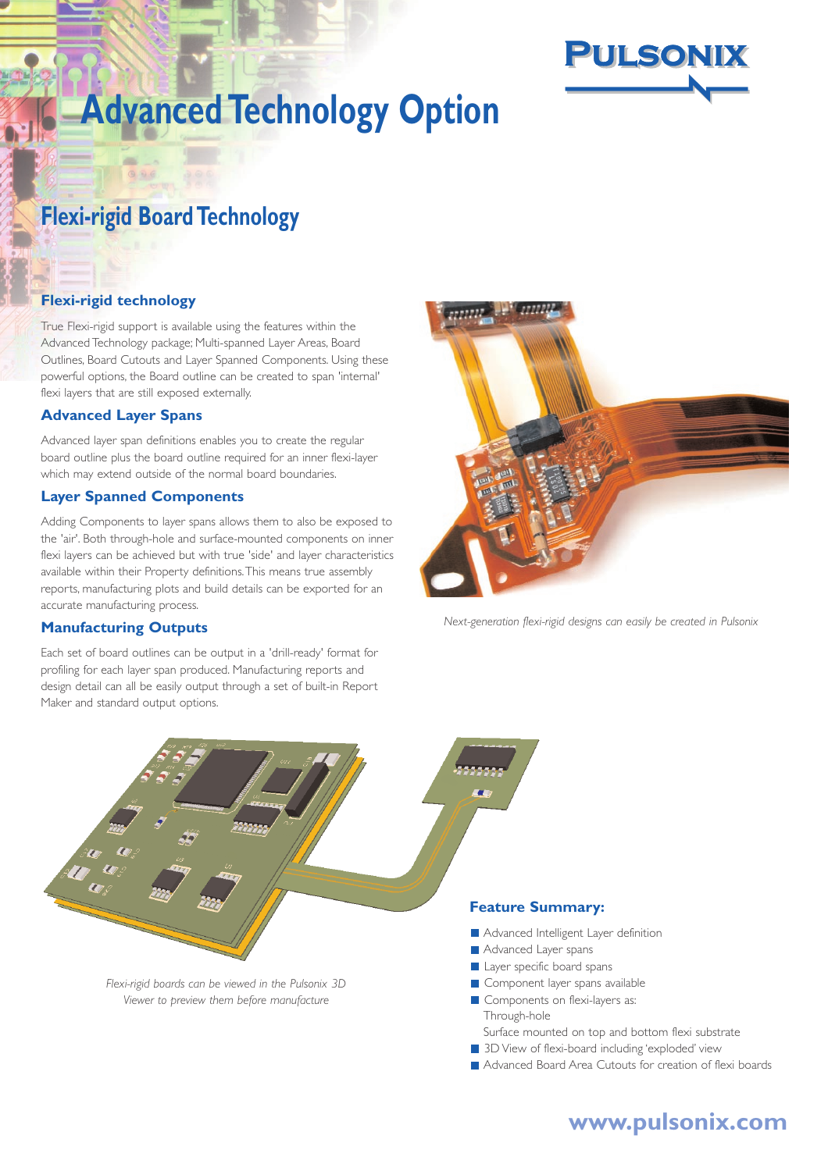

# **Flexi-rigid Board Technology**

# **Flexi-rigid technology**

True Flexi-rigid support is available using the features within the Advanced Technology package; Multi-spanned Layer Areas, Board Outlines, Board Cutouts and Layer Spanned Components. Using these powerful options, the Board outline can be created to span 'internal' flexi layers that are still exposed externally.

#### **Advanced Layer Spans**

Advanced layer span definitions enables you to create the regular board outline plus the board outline required for an inner flexi-layer which may extend outside of the normal board boundaries.

#### **Layer Spanned Components**

Adding Components to layer spans allows them to also be exposed to the 'air'. Both through-hole and surface-mounted components on inner flexi layers can be achieved but with true 'side' and layer characteristics available within their Property definitions.This means true assembly reports, manufacturing plots and build details can be exported for an accurate manufacturing process.

#### **Manufacturing Outputs**

Each set of board outlines can be output in a 'drill-ready' format for profiling for each layer span produced. Manufacturing reports and design detail can all be easily output through a set of built-in Report Maker and standard output options.



*Next-generation flexi-rigid designs can easily be created in Pulsonix*



# **www.pulsonix.com**